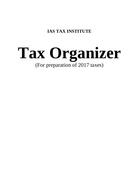**IAS TAX INSTITUTE**

# **Tax Organizer** (For preparation of 2017 taxes)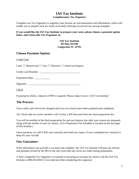### **IAS Tax Institute** *Complimentary Tax Organizer*

Complete our Tax Organizer to organize your income tax documentation and information, which will enable you to prepare your tax return accurately utilizing our proven tax-saving strategies.

#### **If you would like the IAS Tax Institute to prepare your taxes, please choose a payment option below and return this Tax Organizer to:**

**IAS Tax Institute PO Box 915109 Longwood, FL 32791**

### **Choose Payment Option:**

Credit Card

Card: ☐ MasterCard ☐ Visa ☐ Discover ☐ American Express

Credit Card Number: \_\_\_\_\_\_\_\_\_\_\_\_\_\_\_\_\_\_\_\_\_\_\_\_\_\_\_\_\_\_\_

Expiration Date:  $\frac{\qquad \qquad}{\qquad \qquad}$ 

| Signature: |  |
|------------|--|
|            |  |
|            |  |

Check

If paying by check, a deposit of \$99 is required. Please make it out to 'IAS Tax Institute'.

### **The Process:**

Your credit card will not be charged until your tax returns have been prepared and completed.

*Tax clients that are active members will receive a \$50 discount from the total preparation fee.*

You will be notified of the final preparation fee and any balance due after your returns are prepared, along with the results of your tax returns. (Tax Preparation Fee Schedule is located on the last page of this booklet.)

Upon payment, we will E-File your return(s) and send you copies of your completed tax return(s) to keep for your records.

### **Our Guarantee:**

If the information you provide is accurate and complete, the IAS Tax Institute will pay any interest and penalties levied by the IRS in the rare event that any errors are made during preparation.

A fully completed Tax Organizer is essential to ensuring an accurate tax return! Call the IAS Tax Institute at 800-654-6023 if you need any help completing this organizer.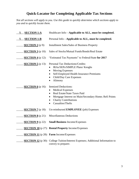### **Quick-Locator for Completing Applicable Tax Sections**

*Not all sections will apply to you. Use this guide to quickly determine which sections apply to you and to quickly locate them.*

| <u>X SECTION 1-A</u>                                 | Healthcare Info-Applicable to ALL, must be completed.                                                                                                                                                                                                                                                                                                                                                                                                                            |
|------------------------------------------------------|----------------------------------------------------------------------------------------------------------------------------------------------------------------------------------------------------------------------------------------------------------------------------------------------------------------------------------------------------------------------------------------------------------------------------------------------------------------------------------|
| <u>SECTION 1-B</u><br>X                              | Personal Info-Applicable to ALL, must be completed.                                                                                                                                                                                                                                                                                                                                                                                                                              |
| <b>SECTION 2</b> ( $p$ 9):                           | <b>Installment Sales/Sales of Business Property</b>                                                                                                                                                                                                                                                                                                                                                                                                                              |
| <b>SECTION 3</b> (p 10):                             | Sales of Stocks/Mutual Funds/Bonds/Real Estate                                                                                                                                                                                                                                                                                                                                                                                                                                   |
| <b>SECTION 4</b> (p 12):                             | "Estimated Tax Payments" to Federal/State for 2017                                                                                                                                                                                                                                                                                                                                                                                                                               |
| <b>SECTION 5</b> (p 13):<br><b>SECTION 6</b> (p 16): | Personal Tax Deductions/Credits:<br>IRAs/SEPs/SIMPLE Plans/ Keoghs<br><b>Moving Expenses</b><br>$\bullet$<br>Self-Employed Health Insurance Premiums<br>$\bullet$<br>Child/Day Care Expenses<br>$\bullet$<br>Alimony<br>$\bullet$<br><b>Itemized Deductions:</b><br><b>Medical Expenses</b><br>Real Estate/State Taxes Paid<br>$\bullet$<br>Mortgage Interest on Main/Secondary Home; Refi Points<br>$\bullet$<br><b>Charity Contributions</b><br>Casualties/Thefts<br>$\bullet$ |
| <b>SECTION 7</b> (p 18):                             | Un-reimbursed <b>EMPLOYEE</b> (job) Expenses                                                                                                                                                                                                                                                                                                                                                                                                                                     |
| <b>SECTION 8</b> (p 21):                             | <b>Miscellaneous Deductions</b>                                                                                                                                                                                                                                                                                                                                                                                                                                                  |
| <b>SECTION 9</b> ( $p$ 22):                          | <b>Small Business Income/Expenses</b>                                                                                                                                                                                                                                                                                                                                                                                                                                            |
|                                                      | <b>SECTION 10</b> (p 27): <b>Rental Property</b> Income/Expenses                                                                                                                                                                                                                                                                                                                                                                                                                 |
|                                                      | <b>SECTION 11</b> (p 28): Farm Income/Expenses                                                                                                                                                                                                                                                                                                                                                                                                                                   |
|                                                      | <b>SECTION 12</b> (p 30): College Tuition/Interest Expenses; Additional Information to                                                                                                                                                                                                                                                                                                                                                                                           |

convey to preparer.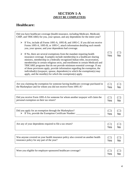### **SECTION 1-A (MUST BE COMPLETED)**

### **Healthcare:**

| Did you have healthcare coverage (health insurance, including Medicare, Medicaid,<br>CHIP, and TRICARE) for you, your spouse, and any dependents for the entire year?<br>If Yes, include all Forms 1095-A, 1095-B, and 1095-C. If you did not receive<br>➤<br>Forms 1095-A, 1095-B, or 1095-C, attach information detailing each month<br>you, your spouse, and your dependents had coverage.<br>If No, there are several exemptions from the mandate requiring health<br>➤<br>insurance coverage. Examples include membership in a healthcare sharing<br>ministry, membership in a federally recognized Indian tribe, incarceration,<br>membership in certain religious sects, and enrollment in certain Medicaid and<br>TRICARE programs that do not provide minimum essential coverage. If any<br>of those provisions apply, provide information regarding the exemption, the<br>individual(s) (taxpayer, spouse, dependents) to which the exemption(s) may<br>apply, and the month(s) for which the exemption(s) apply. | Yes | N٥ |
|-----------------------------------------------------------------------------------------------------------------------------------------------------------------------------------------------------------------------------------------------------------------------------------------------------------------------------------------------------------------------------------------------------------------------------------------------------------------------------------------------------------------------------------------------------------------------------------------------------------------------------------------------------------------------------------------------------------------------------------------------------------------------------------------------------------------------------------------------------------------------------------------------------------------------------------------------------------------------------------------------------------------------------|-----|----|
|-----------------------------------------------------------------------------------------------------------------------------------------------------------------------------------------------------------------------------------------------------------------------------------------------------------------------------------------------------------------------------------------------------------------------------------------------------------------------------------------------------------------------------------------------------------------------------------------------------------------------------------------------------------------------------------------------------------------------------------------------------------------------------------------------------------------------------------------------------------------------------------------------------------------------------------------------------------------------------------------------------------------------------|-----|----|

| Are you claiming the exemption for someone having healthcare coverage purchased in $ (\square) (\square)$<br>the Marketplace and for whom you did not receive Form 1095-A?<br>Yes |
|-----------------------------------------------------------------------------------------------------------------------------------------------------------------------------------|
|-----------------------------------------------------------------------------------------------------------------------------------------------------------------------------------|

| Did you receive Form 1095-A for someone for whom another taxpayer will claim the<br>personal exemption on their tax return? | $(\Box)$<br><b>Yes</b> | <b>No</b> |
|-----------------------------------------------------------------------------------------------------------------------------|------------------------|-----------|
|-----------------------------------------------------------------------------------------------------------------------------|------------------------|-----------|

| Did you apply for an exemption through the Marketplace?<br>$\triangleright$ If Yes, provide the Exemption Certificate Number: | Yes | $(\Box)$<br>No |
|-------------------------------------------------------------------------------------------------------------------------------|-----|----------------|
|                                                                                                                               |     |                |

| Are any of your dependents required to file a tax return?<br>Yes | No |
|------------------------------------------------------------------|----|
|------------------------------------------------------------------|----|

| Was anyone covered on your health insurance policy also covered on another health | $\Box$ | $(\Box)$  |
|-----------------------------------------------------------------------------------|--------|-----------|
| insurance policy for any part of the year?                                        | Yes    | <b>No</b> |
|                                                                                   |        |           |

| Were you eligible for employer-sponsored healthcare coverage? | Yes | (□)<br>No |
|---------------------------------------------------------------|-----|-----------|
|                                                               |     |           |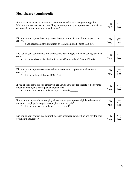# **Healthcare (continued):**

 $\mathbf{r}$ 

| If you received advance premium tax credit or enrolled in coverage through the<br>Marketplace, are married, and are filing separately from your spouse, are you a victim<br>of domestic abuse or spousal abandonment? | Yes | No |
|-----------------------------------------------------------------------------------------------------------------------------------------------------------------------------------------------------------------------|-----|----|
|                                                                                                                                                                                                                       |     |    |

| Did you or your spouse have any transactions pertaining to a health savings account<br>l (HSA)? |            | $\Box$    |
|-------------------------------------------------------------------------------------------------|------------|-----------|
| $\triangleright$ If you received distribution from an HSA include all Forms 1099-SA.            | <b>Yes</b> | <b>No</b> |

 $\overline{\phantom{a}}$ 

 $\overline{\phantom{a}}$ 

| Did you or your spouse have any transactions pertaining to a medical savings account |                                                                                                  |            | $(\Box)$  |
|--------------------------------------------------------------------------------------|--------------------------------------------------------------------------------------------------|------------|-----------|
|                                                                                      | (MSA)?<br>$\triangleright$ If you received a distribution from an MSA include all Forms 1099-SA. | <b>Yes</b> | <b>No</b> |

| Did you or your spouse receive any distributions from long-term care insurance<br>contracts?<br>$\triangleright$ If Yes, include all Forms 1099-LTC. | Yes | No |
|------------------------------------------------------------------------------------------------------------------------------------------------------|-----|----|
|------------------------------------------------------------------------------------------------------------------------------------------------------|-----|----|

| If you or your spouse is self-employed, are you or your spouse eligible to be covered<br>under an employer's health plan at another job?<br>$\triangleright$ If Yes, how many months were you covered? | $(\Box)$<br>Yes | $(\Box)$<br><b>No</b> |
|--------------------------------------------------------------------------------------------------------------------------------------------------------------------------------------------------------|-----------------|-----------------------|
|--------------------------------------------------------------------------------------------------------------------------------------------------------------------------------------------------------|-----------------|-----------------------|

| If you or your spouse is self-employed, are you or your spouse eligible to be covered<br>under and employer's long-term care plan at another job?<br>$\triangleright$ If Yes, how many months were you covered? | $(\Box)$<br>Yes | $(\Box)$<br><b>No</b> |
|-----------------------------------------------------------------------------------------------------------------------------------------------------------------------------------------------------------------|-----------------|-----------------------|
|-----------------------------------------------------------------------------------------------------------------------------------------------------------------------------------------------------------------|-----------------|-----------------------|

| Did you or your spouse lose your job because of foreign competition and pay for your $(\Box)$ $(\Box)$<br>own health insurance? | Yes   No |  |
|---------------------------------------------------------------------------------------------------------------------------------|----------|--|
|                                                                                                                                 |          |  |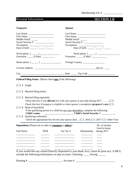Membership I.D. # \_\_\_\_\_\_\_\_\_\_\_\_\_\_

Personal Information **SECTION 1-B** 

| Taxpayer:                                                                                               | Spouse:                                                                                                                                                                                                                                                                                                     |
|---------------------------------------------------------------------------------------------------------|-------------------------------------------------------------------------------------------------------------------------------------------------------------------------------------------------------------------------------------------------------------------------------------------------------------|
| Last Name<br>First Name<br>Middle Initial _____<br>Occupation                                           | First Name<br>Middle Initial                                                                                                                                                                                                                                                                                |
| Work phone $(\_\_)$<br>Extension E-Mail                                                                 | Work phone $(\_\_)$<br>Extension ________ E-Mail _______________                                                                                                                                                                                                                                            |
| Home phone $(\_\_)$                                                                                     | Foreign Country                                                                                                                                                                                                                                                                                             |
|                                                                                                         |                                                                                                                                                                                                                                                                                                             |
|                                                                                                         |                                                                                                                                                                                                                                                                                                             |
| <b>Federal Filing Status</b> (Please check one of the following):                                       |                                                                                                                                                                                                                                                                                                             |
| $(\Box)$ 1 Single                                                                                       |                                                                                                                                                                                                                                                                                                             |
| $(\Box)$ 2 Married filing jointly                                                                       |                                                                                                                                                                                                                                                                                                             |
| $(\Box)$ 3 Married filing separately<br>$(\Box)$ 4 Head of household<br>$(\Box)$ 5 Qualifying widow(er) | Check this box if taxpayer is eligible to claim spouse's exemption (preparer's use) $(\square)$<br>If the qualifying person is a child but not your dependent, complete the following:<br>Check the appropriate box for the year spouse died ( $\square$ ) 2016 ( $\square$ ) 2017 ( $\square$ ) Other Year |
| <b>Dependents</b> (Please list in order of youngest to oldest):                                         | No. of months<br>lived in home                                                                                                                                                                                                                                                                              |
| Full Name:<br><b>DOB</b>                                                                                | Soc Sec $#$<br>Relationship<br>during 2017                                                                                                                                                                                                                                                                  |
| include the following information on that account: Checking ______ Saving ______                        | If you would like any refund Directly Deposited in your Bank Acct. (must be joint acct. if MFJ)<br>$Account # \_$                                                                                                                                                                                           |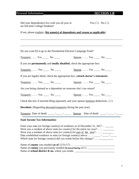### Personal Information **SECTION 1-B**

| are full time College Students?                                                                                                                                                                                                                                                                                                                                                                                     |  |
|---------------------------------------------------------------------------------------------------------------------------------------------------------------------------------------------------------------------------------------------------------------------------------------------------------------------------------------------------------------------------------------------------------------------|--|
| If not, please explain: (list name(s) of dependents and reason as applicable)                                                                                                                                                                                                                                                                                                                                       |  |
|                                                                                                                                                                                                                                                                                                                                                                                                                     |  |
|                                                                                                                                                                                                                                                                                                                                                                                                                     |  |
| Do you want \$3 to go to the Presidential Election Campaign Fund?                                                                                                                                                                                                                                                                                                                                                   |  |
|                                                                                                                                                                                                                                                                                                                                                                                                                     |  |
| If you are <b>permanently</b> and <b>totally disabled</b> , check the appropriate box:                                                                                                                                                                                                                                                                                                                              |  |
|                                                                                                                                                                                                                                                                                                                                                                                                                     |  |
| If you are legally blind, check the appropriate box: (attach doctor's statement)                                                                                                                                                                                                                                                                                                                                    |  |
| <b>Spouse</b> Yes _______ No ______                                                                                                                                                                                                                                                                                                                                                                                 |  |
| Are you being claimed as a dependent on someone else's tax return?                                                                                                                                                                                                                                                                                                                                                  |  |
| Taxpayer  Yes ______ No ______ Spouse  Yes _____ No _____                                                                                                                                                                                                                                                                                                                                                           |  |
| Check this box if married filing separately and your spouse <u>itemizes</u> deductions $(\Box)$                                                                                                                                                                                                                                                                                                                     |  |
| <b>Decedent:</b> (Regarding deceased taxpayers during the past year)                                                                                                                                                                                                                                                                                                                                                |  |
|                                                                                                                                                                                                                                                                                                                                                                                                                     |  |
| <b>State Income Tax Information:</b>                                                                                                                                                                                                                                                                                                                                                                                |  |
| Enter your state (or foreign country) of residence as of December 31, 2017 ______<br>Were you a resident of above state (or country) for the entire tax year?<br>Were you a resident of above state (or country) for <u>part of the year</u> ?<br>Date established residence in state (or foreign country) above _____/ _____/<br>Which state (or foreign country) did you reside before this change? _____________ |  |

| Name of <b>county</b> you resided (as of $12/31/17$ )                        |
|------------------------------------------------------------------------------|
| Name of <b>county</b> you previously resided <i>(if moved during 2017)</i> . |
| Name of school district $\&$ no. where you reside.                           |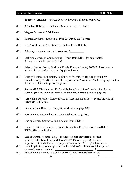### Personal Information **SECTION 1-B**

**Sources of Income**: *(Please check and provide all items requested)*

- (☐) **2016 Tax Returns**----Photocopy (unless prepared by IAS)
- (☐) Wages- Enclose all **W-2 Forms**.
- (☐) Interest/Dividends- Enclose all **1099-INT/1099-DIV** Forms.
- (☐) State/Local Income Tax Refunds. Enclose Form **1099-G**.
- (☐) Alimony payments received. **Amount:** \$\_\_\_\_\_\_\_\_\_\_
- (☐) Self-employment or Commissions- Form **1099-MISC** (as applicable). Complete worksheet on page **(17)**
- (☐) Sales of Stocks, Bonds, & Mutual Funds. Enclose Form(s) **1099-B**. Also, be sure to complete worksheet on page **(5)** *(Mandatory)*
- (☐) Sales of Business Equipment, Furniture, or Machinery. Be sure to complete worksheet on page **(4)**, and provide **Depreciation** "worksheet" indicating depreciation deductions claimed in **prior tax years.**
- (☐) Pension/IRA Distributions- Enclose "**Federal**" and "**State**" copies of all Forms **1099-R**. *(Indicate 'rollover' amounts in additional comments section, page 25)*
- $(\Box)$  Partnership, Royalties, Corporations, & Trust Income or (loss)- Please provide all **Schedule K-1** Forms.
- (☐) Rental Income Received. Complete worksheet on page **(22).**
- (☐) Farm Income Received. Complete worksheet on page **(23).**
- (☐) Unemployment Compensation. Enclose Form **1099-G.**
- (☐) Social Security or Railroad Retirements Benefits. Enclose Form **SSA-1099** or **RRB-1099** as applicable.
- (☐) Sale or Purchase of Real Estate. Provide "**closing statements**" for (all) property either **bought** or **sold** during 2017. Please list (cost) of major improvements and additions to property prior to sale. See pages **4, 5,** and **6.**
- (☐) Gambling/Lottery Winnings. Enclose Form(s) **W-2G.** If not available, provide source & amount received: \_\_\_\_\_\_\_\_\_\_\_\_\_\_\_\_\_\_\_\_\_\_\_\_\_\_\_\_ \$ \_\_\_\_\_\_\_\_\_\_\_\_
- (☐) Miscellaneous Income. Please list **source**(s) and **amount**(s) received: \_\_\_\_\_\_\_\_\_\_\_\_\_\_\_\_\_\_ \$ \_\_\_\_\_\_\_\_\_\_\_\_ \_\_\_\_\_\_\_\_\_\_\_\_\_\_\_\_\_\_ \$ \_\_\_\_\_\_\_\_\_\_\_\_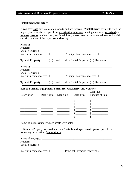### **Installment and Business Property Sales SECTION 2**

### **Installment Sales (Only):**

If you have **sold** any real estate property and are receiving "**installment**" payments from the buyer, please furnish a copy of the amortization schedule showing amount of **principal** and **interest income** received last year. In addition, please provide the name, address and social security number of the buyer. (**mandatory**)

| Social Security #                                                                  |                                                                                                                                                                                                                                                                                                                                                                                                        |                                                                     |                             |                                                                                                                                                                                                                                                                                                                     |
|------------------------------------------------------------------------------------|--------------------------------------------------------------------------------------------------------------------------------------------------------------------------------------------------------------------------------------------------------------------------------------------------------------------------------------------------------------------------------------------------------|---------------------------------------------------------------------|-----------------------------|---------------------------------------------------------------------------------------------------------------------------------------------------------------------------------------------------------------------------------------------------------------------------------------------------------------------|
|                                                                                    |                                                                                                                                                                                                                                                                                                                                                                                                        |                                                                     |                             | Interest Income received: \$ Principal Payments received: \$                                                                                                                                                                                                                                                        |
| <b>Type of Property:</b> $(\Box)$ Land $(\Box)$ Rental Property $(\Box)$ Residence |                                                                                                                                                                                                                                                                                                                                                                                                        |                                                                     |                             |                                                                                                                                                                                                                                                                                                                     |
|                                                                                    |                                                                                                                                                                                                                                                                                                                                                                                                        |                                                                     |                             | Name(s): $\qquad \qquad$                                                                                                                                                                                                                                                                                            |
|                                                                                    |                                                                                                                                                                                                                                                                                                                                                                                                        |                                                                     |                             |                                                                                                                                                                                                                                                                                                                     |
|                                                                                    |                                                                                                                                                                                                                                                                                                                                                                                                        |                                                                     |                             | Interest Income received: \$ Principal Payments received: \$                                                                                                                                                                                                                                                        |
| <b>Type of Property:</b> $(\Box)$ Land $(\Box)$ Rental Property $(\Box)$ Residence |                                                                                                                                                                                                                                                                                                                                                                                                        |                                                                     |                             |                                                                                                                                                                                                                                                                                                                     |
| Sale of Business Equipment, Furniture, Machinery, and Vehicles:                    |                                                                                                                                                                                                                                                                                                                                                                                                        |                                                                     |                             |                                                                                                                                                                                                                                                                                                                     |
| Description                                                                        |                                                                                                                                                                                                                                                                                                                                                                                                        | Date Acq'd Date Sold                                                | <b>Sales Price</b>          | <b>Cost Plus</b><br><b>Expense of Sale</b>                                                                                                                                                                                                                                                                          |
|                                                                                    |                                                                                                                                                                                                                                                                                                                                                                                                        |                                                                     |                             |                                                                                                                                                                                                                                                                                                                     |
|                                                                                    |                                                                                                                                                                                                                                                                                                                                                                                                        | $\frac{1}{2}$ and $\frac{1}{2}$ and $\frac{1}{2}$ and $\frac{1}{2}$ | $\frac{\text{S}}{\text{S}}$ | $\begin{array}{c} \n\text{\textcircled{}} \\ \n\end{array}$                                                                                                                                                                                                                                                         |
|                                                                                    |                                                                                                                                                                                                                                                                                                                                                                                                        |                                                                     |                             | $\frac{\sqrt{25}}{25}$ $\frac{\sqrt{25}}{25}$                                                                                                                                                                                                                                                                       |
| the control of the control of the control of                                       |                                                                                                                                                                                                                                                                                                                                                                                                        |                                                                     |                             | $\frac{3}{5}$ $\frac{5}{5}$ $\frac{5}{5}$ $\frac{5}{5}$ $\frac{5}{5}$ $\frac{5}{5}$ $\frac{5}{5}$ $\frac{5}{5}$ $\frac{5}{5}$ $\frac{5}{5}$ $\frac{5}{5}$ $\frac{5}{5}$ $\frac{5}{5}$ $\frac{5}{5}$ $\frac{5}{5}$ $\frac{5}{5}$ $\frac{5}{5}$ $\frac{5}{5}$ $\frac{5}{5}$ $\frac{1}{5}$ $\frac{1}{5}$ $\frac{1}{5}$ |
|                                                                                    |                                                                                                                                                                                                                                                                                                                                                                                                        |                                                                     |                             |                                                                                                                                                                                                                                                                                                                     |
|                                                                                    | $\overline{\phantom{a}}$ . The contract of $\overline{\phantom{a}}$ and $\overline{\phantom{a}}$ and $\overline{\phantom{a}}$ and $\overline{\phantom{a}}$ and $\overline{\phantom{a}}$ and $\overline{\phantom{a}}$ and $\overline{\phantom{a}}$ and $\overline{\phantom{a}}$ and $\overline{\phantom{a}}$ and $\overline{\phantom{a}}$ and $\overline{\phantom{a}}$ and $\overline{\phantom{a}}$ and |                                                                     |                             | $\frac{\text{S}}{\text{S}}$ $\frac{\text{S}}{\text{S}}$                                                                                                                                                                                                                                                             |
|                                                                                    |                                                                                                                                                                                                                                                                                                                                                                                                        |                                                                     |                             | Name of business under which assets were sold: __________________________________                                                                                                                                                                                                                                   |
| following information: (mandatory)                                                 |                                                                                                                                                                                                                                                                                                                                                                                                        |                                                                     |                             | If Business Property was sold under an "installment agreement", please provide the                                                                                                                                                                                                                                  |
| Name of Buyer(s): $\qquad \qquad$                                                  |                                                                                                                                                                                                                                                                                                                                                                                                        |                                                                     |                             |                                                                                                                                                                                                                                                                                                                     |
|                                                                                    |                                                                                                                                                                                                                                                                                                                                                                                                        |                                                                     |                             |                                                                                                                                                                                                                                                                                                                     |
|                                                                                    |                                                                                                                                                                                                                                                                                                                                                                                                        |                                                                     |                             | Interest Income received: \$ Principal Payments received: \$                                                                                                                                                                                                                                                        |

۰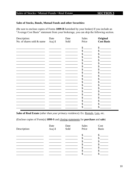### Sales of Stocks / Mutual Funds / Real Estate

### Sales of Stocks, Bonds, Mutual Funds and other Securities:

(Be sure to enclose copies of Forms 1099-B furnished by your broker) If you include an "Average Cost Basis" statement from your brokerage, you can skip the following section.

| Description:              | Date  | Date | Sales | <b>Original</b>   |
|---------------------------|-------|------|-------|-------------------|
| No. of shares sold & name | Acq'd | Sold | Price | <b>Cost Basis</b> |
|                           |       |      | \$    | \$                |
|                           |       |      | \$    | S                 |
|                           |       |      | \$    |                   |
|                           |       |      | \$    |                   |
|                           |       |      | \$    |                   |
|                           |       |      | \$    |                   |
|                           |       |      | \$    |                   |
|                           |       |      |       |                   |
|                           |       |      | \$    |                   |
|                           |       |      | \$    |                   |
|                           |       |      | \$    |                   |
|                           |       |      | \$    |                   |
|                           |       |      | \$    |                   |
|                           |       |      | \$    | \$                |
|                           |       |      | \$    |                   |
|                           |       |      | \$    |                   |
|                           |       |      |       |                   |
|                           |       |      | S     |                   |
|                           |       |      | S     |                   |
|                           |       |      | \$    | \$                |
|                           |       |      | \$    |                   |

Sales of Real Estate (other than your primary residence): Ex: Rentals, Lots, etc.

(Enclose copies of Form(s) 1099-S and closing statements for purchase and sale)

| Description: | Date<br>Acq'd | Date<br>Sold | Sales<br>Price | Cost<br><b>Basis</b> |
|--------------|---------------|--------------|----------------|----------------------|
|              |               |              |                |                      |
|              |               |              |                |                      |
|              |               |              |                |                      |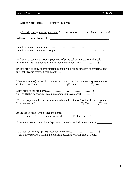Sale of Your Home **SECTION 3** 

(*Provide copy of closing statement for home sold as well as new home purchased)*

Address of former home sold: \_\_\_\_\_\_\_\_\_\_\_\_\_\_\_\_\_\_\_\_\_\_\_\_\_\_\_\_\_\_\_\_\_\_\_\_\_\_\_\_\_\_\_

Will you be receiving periodic payments of principal or interest from this sale? If **Yes**, what is the amount of the financial instrument (note)?……………  $\frac{1}{2}$ 

(Please provide copy of amortization schedule indicating amounts of **principal** and **interest income** received each month)…

| Were any room(s) in the old home rented out or used for business purposes such as    |
|--------------------------------------------------------------------------------------|
|                                                                                      |
| Cost of <b>old</b> home (original cost plus capital improvements) $\frac{1}{2}$      |
| Was the property sold used as your main home for at least 2 out of the last 5 years? |
|                                                                                      |
|                                                                                      |
| At the time of sale, who owned the home?                                             |
| You ( $\square$ ) Your Spouse ( $\square$ )<br>Both of you $(\square)$               |
| Enter social security number of spouse at time of sale, if different spouse.         |

Total cost of "**fixing-up**" expenses for home sold…………………………. \$ \_\_\_\_\_\_\_\_\_\_ (Ex: minor repairs, painting and cleaning expense to aid in sale of home)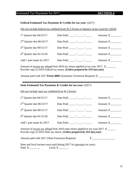### Estimated Tax Payments for 2017 **SECTION 4**

#### **Federal Estimated Tax Payments & Credits for tax year:** (2017)

(*Do not include federal tax withheld from W-2 Forms or balance of tax owed for (2016)*

| $1st$ Quarter due 04/15/17: |                                                          | Amount: \$            |
|-----------------------------|----------------------------------------------------------|-----------------------|
| $2nd$ Quarter due 06/16/17: |                                                          | Amount: $\frac{1}{2}$ |
| $3rd$ Quarter due 09/15/17: | Date Paid: $\frac{1}{2}$ / $\frac{1}{2}$ / $\frac{1}{2}$ | Amount: $\frac{1}{2}$ |
| $4th$ Quarter due 01/15/18: | Date Paid: $\frac{1}{\sqrt{2}}$                          | Amount: $\frac{1}{2}$ |
| Add'1 pmt made for 2017:    |                                                          | Amount: $\frac{1}{2}$ |
|                             |                                                          |                       |

Amount of excess tax refund from 2016 tax return applied to tax year 2017: \$ Provide copy of 2016 Federal tax return. **(***Unless prepared by IAS last year)*

Amount paid with 2017 **Form 4868** (Automatic Extension Request): \$ \_\_\_\_\_\_\_\_\_\_\_

#### **State Estimated Tax Payments & Credits for tax year:** (2017)

(*Do not include state tax withheld from W-2 forms)*

| Date Paid: $\frac{1}{\sqrt{2}}$                                                                                                                                              | Amount: $\frac{1}{2}$ |  |  |  |  |
|------------------------------------------------------------------------------------------------------------------------------------------------------------------------------|-----------------------|--|--|--|--|
|                                                                                                                                                                              | Amount: \$            |  |  |  |  |
|                                                                                                                                                                              | Amount: $\frac{1}{2}$ |  |  |  |  |
|                                                                                                                                                                              | Amount: $\frac{1}{2}$ |  |  |  |  |
|                                                                                                                                                                              | Amount: \$            |  |  |  |  |
| Amount of <u>excess tax refund</u> from 2016 state return applied to tax year 2017: \$<br>Provide copy of 2016 State tax return. ( <i>Unless prepared by IAS last year</i> ) |                       |  |  |  |  |
|                                                                                                                                                                              |                       |  |  |  |  |

Amount paid with 2017 (State Extension Request):  $\qquad \qquad$  \$

State and local income taxes paid during 2017 for previous tax years: State: \$ \_\_\_\_\_\_\_\_ Local: \$ \_\_\_\_\_\_\_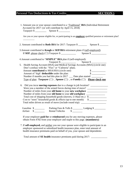### Personal Tax Deductions & Tax Credits **SECTION** 5

| Are you or your spouse eligible for, or participating in an <b>employer</b> qualified pension or retirement plan?                       |                                                                                       |
|-----------------------------------------------------------------------------------------------------------------------------------------|---------------------------------------------------------------------------------------|
|                                                                                                                                         |                                                                                       |
|                                                                                                                                         |                                                                                       |
| 3. Amount contributed to Keogh or SEP/IRA retirement plans if (self-employed):                                                          |                                                                                       |
| If <b>SEP</b> , please check $(\Box)$ Taxpayer $\$\_$ Spouse $\$\_$                                                                     |                                                                                       |
|                                                                                                                                         |                                                                                       |
| 4. Amount contributed to "SIMPLE" IRA plan if (self-employed):                                                                          |                                                                                       |
| 5. Health Saving Account (HSA) and Medical Savings Accounts (MSA) (circle one)                                                          |                                                                                       |
| Don't confuse with the "Flex" or "Cafeteria" plans.                                                                                     |                                                                                       |
| Amount contributed to MSA/HSA (circle one):                                                                                             |                                                                                       |
| Amount of 'high' deductible under the plan:                                                                                             | $\begin{array}{c}\n 8 \quad \text{---} \\ \hline\n 8 \quad \text{---} \\ \end{array}$ |
| Number if months you had this plan in 2017 __ Date plan started _______                                                                 |                                                                                       |
| <u>Type of plan:</u> <b>Taxpayer</b> ( $\square$ ), <b>Spouse</b> ( $\square$ ), or <b>Family</b> ( $\square$ ) <b>Please check one</b> |                                                                                       |
|                                                                                                                                         |                                                                                       |
| Did you incur <b>moving expenses</b> due to a change in job location?<br>6.                                                             |                                                                                       |
| Were you a member of the armed forces during time of move?                                                                              |                                                                                       |
| Number of miles from your old home to your new workplace _______________________                                                        |                                                                                       |
| Number of miles from your old home to your old workplace _________________                                                              |                                                                                       |
| Total cost of shipping household goods (movers, U-Haul etc.) \$                                                                         |                                                                                       |
|                                                                                                                                         |                                                                                       |
| Total miles driven as result of move (include round trip): _____________________                                                        |                                                                                       |
|                                                                                                                                         |                                                                                       |
|                                                                                                                                         |                                                                                       |
|                                                                                                                                         |                                                                                       |
|                                                                                                                                         |                                                                                       |
| If your employer paid for or reimbursed you for any moving expenses, please                                                             |                                                                                       |

Total amount of **SE health** insurance premiums paid during 2017: \_\_\_\_\_\_\_\_\_\_\_\_\_\_\_\_

health insurance premiums paid on behalf of you, your spouse and dependents: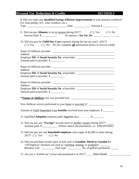### **Personal Tax Deductions & Credits SECTION 5**

| 8. Did you make any Qualified Energy-Efficient Improvements to your primary residence?<br>(i.e. heat pumps, A/C, solar windows, etc.)                                            |                                                            |
|----------------------------------------------------------------------------------------------------------------------------------------------------------------------------------|------------------------------------------------------------|
|                                                                                                                                                                                  |                                                            |
| 9. Did you pay <b>Alimony</b> to an <u>ex-spouse</u> during 2017? $(\Box)$ Yes $(\Box)$ No                                                                                       |                                                            |
| 10. Did you pay for Child Day Care expenses during the last tax year? (2017)<br>$(\square)$ Yes $(\square)$ No (If yes, complete <b>all</b> information below to receive credit) |                                                            |
| Address:                                                                                                                                                                         |                                                            |
| Employer ID# of Social Security No. of provider: _______________________________<br>Amount paid to provider: \$                                                                  |                                                            |
|                                                                                                                                                                                  |                                                            |
| Employer ID# of Social Security No. of provider: _______________________________<br>Amount paid to provider: \$                                                                  |                                                            |
|                                                                                                                                                                                  | <u> 1989 - Johann Stoff, amerikansk politiker (* 1908)</u> |
| Employer ID# of Social Security No. of provider: _______________________________<br>Amount paid to provider: \$                                                                  |                                                            |
|                                                                                                                                                                                  |                                                            |
| Was childcare service performed in your <u>home</u> or provider's? ____________________                                                                                          |                                                            |
| Amount of Child Dependent Care benefits received from your employer: \$                                                                                                          |                                                            |
| 11. Qualified Adoption expenses paid: (legal fees, etc.) \$                                                                                                                      |                                                            |
| 12. Did you pay any " <b>Foreign"</b> income taxes to <u>another country</u> during 2017?<br>Amount paid: \$ _____________ (Please attach documentation; ex: 1099 INT/DIV)       |                                                            |
| 13. Did you pay any one <b>household employee</b> cash wages of \$2,000 or more during<br>2017? ( $\square$ ) Yes ( $\square$ ) No                                               |                                                            |
| 14. Did you purchase certain types of fuel such as Gasoline, Diesel or Gasohol for<br>"off-highway" business use such as: (farming, heating, or aviation)?                       |                                                            |
| 15. Are you a "hybrid car" owner and purchased it in 2017? ____ Make/Model ____                                                                                                  |                                                            |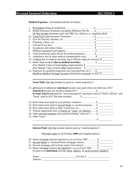**Medical Expenses:** (Unreimbursed/Out of Pocket)

| 1. |                                                                                   |
|----|-----------------------------------------------------------------------------------|
|    |                                                                                   |
|    | Do Not Include premiums paid with PRE-Tax dollars ( <i>i.e.</i> : employer plan)  |
|    |                                                                                   |
| 3. |                                                                                   |
| 4. |                                                                                   |
|    |                                                                                   |
|    |                                                                                   |
|    |                                                                                   |
|    | 8. Total (round trip) miles driven for medical purposes\$                         |
|    |                                                                                   |
|    | 10. Lodging due to medical necessity ( <i>up to \$50 per night per person</i> )\$ |
|    | 11. Home improvement (due to medical necessity)\$                                 |
|    | (Fair Market Value of home before improvement): \$                                |
|    | (Fair Market Value of home after improvement): \$                                 |
|    | 12. Expenses for qualified long-term care ( <i>nursing home etc.</i> )\$          |
|    | <u>Health or Medical Savings Account</u> distributions received in 2017 \$        |

Taxes Paid: (Do Not include tax paid on "rental properties")

| 13. a) Amount of additional <b>state/local</b> income taxes paid when you filed your 2017 |
|-------------------------------------------------------------------------------------------|
|                                                                                           |
| b) State SALES tax paid for "non-consumption" purchases such as "motor vehicles" and      |
| "boats" paid in 2017 (Include receipts)<br>$\mathbb{S}$                                   |
|                                                                                           |
| 15. Real estate taxes paid on <u>second home</u> or vacation property \$                  |
|                                                                                           |
|                                                                                           |
| 17. Vehicle registration fees (if based on "value" of vehicles)\$                         |
| 18. Other personal property taxes paid (excluding "sales tax")\$                          |
| 19. Other Taxes:                                                                          |
|                                                                                           |
|                                                                                           |

**Interest Paid:** (Do Not include interest paid on "rental properties")

\*(Provide copies of all Form(s) **1098** and complete below):

| 20. Home mortgage interest reported to you on Form 1098\$                                    |  |
|----------------------------------------------------------------------------------------------|--|
|                                                                                              |  |
|                                                                                              |  |
|                                                                                              |  |
| (If paid to an <b>individual</b> , provide <u>name</u> , address, & social security number): |  |
|                                                                                              |  |

Name: \_\_\_\_\_\_\_\_\_\_\_\_\_\_\_\_\_\_\_\_\_\_\_\_\_\_\_\_ Soc Sec # \_\_\_\_\_\_\_\_\_\_\_\_\_\_\_\_\_\_ Address: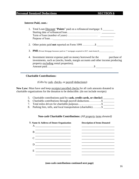#### **Interest Paid, cont.:**

| 1. Total Loan Discount "Points" paid on a refinanced mortgage: \$                                                                                                                                         |
|-----------------------------------------------------------------------------------------------------------------------------------------------------------------------------------------------------------|
|                                                                                                                                                                                                           |
| <b>3. PMI</b> (Private Mortgage Insurance paid on $1st$ mortgages acquired in 2017, main home) \$                                                                                                         |
| 4. Investment interest expense paid on money borrowed for the<br>purchase of<br>investments, such as (stocks, bonds, margin accounts and other income producing<br>property excluding rental properties); |

### **Charitable Contributions:**

(Gifts by cash, checks, or payroll deductions):

New Law: Must have and keep receipts/cancelled checks for all cash amounts donated to charitable organizations for the donation to be deductible. (do not include receipts)

| 5. Charitable contributions paid by cash, credit cards, or checks\$ |
|---------------------------------------------------------------------|
|                                                                     |
|                                                                     |
|                                                                     |

#### **Non-cash Charitable Contributions:** *(All property items donated)*

| 9. Name & Address of Donee Organization<br>A<br><u> 1980 - Johann Barbara, martin amerikan basal dan berasal dalam basal dalam basal dalam basal dalam basal dala</u> | <b>Description of Items Donated</b> |
|-----------------------------------------------------------------------------------------------------------------------------------------------------------------------|-------------------------------------|
| $\mathbf{B}$                                                                                                                                                          |                                     |
| $\mathbf C$                                                                                                                                                           |                                     |
|                                                                                                                                                                       |                                     |
| E                                                                                                                                                                     |                                     |

**(non-cash contributions continued next page)**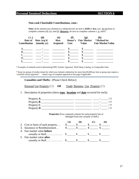### **Personal Itemized Deductions SECTION 6**

#### **Non-cash Charitable Contributions, cont.:**

**Note:** *If the amount you claimed as a deduction for an item is \$500 or less, you do not have to complete columns (d), (e), and (f). However, be sure to complete columns* c, g, *and h.*

| (C)<br>Contribution (month, yr) | (d)<br>Date of Date Acq'd | (e)<br>How<br><b>Acquired</b> | Cost | (g)<br>Donor's Fair Market<br>Value | *Method for<br><b>Fair Market Value</b> |
|---------------------------------|---------------------------|-------------------------------|------|-------------------------------------|-----------------------------------------|
| А                               |                           |                               |      |                                     |                                         |
| в                               |                           |                               |      |                                     |                                         |
|                                 |                           |                               |      |                                     |                                         |
|                                 |                           |                               |      |                                     |                                         |
|                                 |                           |                               |      |                                     |                                         |

\* Examples of methods used in determining FMV include: Appraisal, Thrift Shop, Catalog, or Comparable Sales

\* Items (or groups of similar items) for which you claimed a deduction for more than \$5,000 per item or group may require a "certified written appraisal". Attach copy of complete appraisal to this page if applicable.

**Casualties and Thefts:** (Please Check Below):

Personal Use Property (□) OR Trade/ Business Use Property (□)

1. Description of properties (show **type, location** and **date** occurred for each):

| Property $\bf{A}$ |  |
|-------------------|--|
| Property $\bf{B}$ |  |
| Property $C$      |  |
| Property <b>D</b> |  |

**Properties** (Use a separate column for each property lost or damaged from one casualty or theft.)

|                                    | .B) |  |  |
|------------------------------------|-----|--|--|
| 2. Cost or basis of each property  |     |  |  |
| 3. Insurance or Reimbursement      |     |  |  |
| 4. Fair market value <b>before</b> |     |  |  |
|                                    |     |  |  |
| 5. Fair market value <b>after</b>  |     |  |  |
|                                    |     |  |  |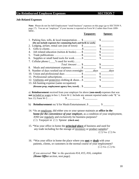#### **Job-Related Expenses**

**Note:** Please do not list Self-Employment "small business" expenses on this page (go to SECTION 9, page 17). You are an "employee" if your income is reported on Form W-2 rather than From 1099- MISC.

| Taxpaver:                                                                                                                                                                                                                                                                                                                                                                                                              | Spouse:                     |
|------------------------------------------------------------------------------------------------------------------------------------------------------------------------------------------------------------------------------------------------------------------------------------------------------------------------------------------------------------------------------------------------------------------------|-----------------------------|
| 1. Parking fees, tolls, $\&$ local transportation $\$\_$                                                                                                                                                                                                                                                                                                                                                               | $\mathcal{S}$               |
| (Do not include expenses for commuting back and forth to work)                                                                                                                                                                                                                                                                                                                                                         |                             |
| 2. Lodging, airfare, rental cars (out of town) \$                                                                                                                                                                                                                                                                                                                                                                      | $\mathbb{S}$                |
| 3.                                                                                                                                                                                                                                                                                                                                                                                                                     |                             |
| Job related education (tuition $\&$ books) \$<br>4.                                                                                                                                                                                                                                                                                                                                                                    | $\sim$                      |
| 5.                                                                                                                                                                                                                                                                                                                                                                                                                     | $\sim$                      |
| 6.                                                                                                                                                                                                                                                                                                                                                                                                                     |                             |
| 7. Cellular phone ( ___% used for work)                                                                                                                                                                                                                                                                                                                                                                                |                             |
| $Total Amount: \dots$ \$                                                                                                                                                                                                                                                                                                                                                                                               |                             |
| 8. Meals and entertainment expenses\$                                                                                                                                                                                                                                                                                                                                                                                  |                             |
| 9. Number of days worked out of town overnight: ________ days                                                                                                                                                                                                                                                                                                                                                          | $\frac{days}{dx}$           |
| 10. Union and professional dues \$                                                                                                                                                                                                                                                                                                                                                                                     | $\frac{\text{S}}{\text{S}}$ |
| 11. Professional subscriptions\$                                                                                                                                                                                                                                                                                                                                                                                       |                             |
| 12. Uniforms and protective clothing & shoes\$                                                                                                                                                                                                                                                                                                                                                                         |                             |
| 13. Job hunting expense (same occupation):                                                                                                                                                                                                                                                                                                                                                                             |                             |
| (Resume prep, employment agency fees, travel) $\frac{1}{2}$ ______________                                                                                                                                                                                                                                                                                                                                             | $\mathbb{S}$                |
| $\mathbf{f}_1, \ldots, \mathbf{f}_n, \ldots, \mathbf{f}_n, \ldots, \mathbf{f}_n, \ldots, \mathbf{f}_n, \ldots, \mathbf{f}_n, \ldots, \mathbf{f}_n, \ldots, \mathbf{f}_n, \ldots, \mathbf{f}_n, \ldots, \mathbf{f}_n, \ldots, \mathbf{f}_n, \ldots, \mathbf{f}_n, \ldots, \mathbf{f}_n, \ldots, \mathbf{f}_n, \ldots, \mathbf{f}_n, \ldots, \mathbf{f}_n, \ldots, \mathbf{f}_n, \ldots, \mathbf{f}_n, \ldots, \mathbf{$ |                             |

a) **Reimbursement** received from your employer for above (**non-meal)** expenses that was **not** included as wages in box 1, Form W-2. Include any amount reported under code "**L**" in box 13, Form W-2……. \$ \_\_\_\_\_\_\_\_\_ \$ \_\_\_\_\_\_\_\_\_

b) **Reimbursement** rec'd for Meals/Entertainment..\$ \$

- 14. \*As an employee, did either you or your spouse maintain an **office in the home** *for the convenience of your employer,* as a condition of your employment, AND use regularly and exclusively for business purposes? (☐) Taxpayer or (☐) Spouse **(check one)**
- 15. \*Was your office in home the **principal place** of business and used for any trade including for the storage of inventory or product samples?  $(\Box)$  Yes  $(\Box)$  No
- 16. \*Was your office in home the place where you **met** or **dealt** with your patients, clients, or customers in the normal course of your employment?  $(\Box)$  Yes  $(\Box)$  No

*If you answered 'Yes' to the questions #14, #15, #16, complete (Home Office section, next page).*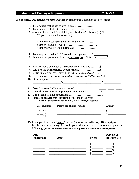### **Unreimbursed Employee Expenses SECTION 7**

**Home Office Deductions for Job:** (Required by employer as a condition of employment)

|                     | 3. Was your home used for child day care business? ( $\square$ ) Yes ( $\square$ ) No<br>(If yes, complete the following):               |               |
|---------------------|------------------------------------------------------------------------------------------------------------------------------------------|---------------|
|                     |                                                                                                                                          |               |
|                     |                                                                                                                                          |               |
|                     |                                                                                                                                          |               |
|                     | 4. Total wages earned in 2017 from this occupation  \$                                                                                   |               |
|                     | 5. Percent of wages earned from the business use of this home _____%                                                                     |               |
|                     | 8. Utilities (electric, gas, water, heat) "Do not include phone"\$<br>9. Rent paid on home (total amount for year during "office use")\$ |               |
|                     |                                                                                                                                          |               |
|                     |                                                                                                                                          |               |
|                     |                                                                                                                                          |               |
|                     | 12. Cost of home (purchased price plus improvements) \$                                                                                  |               |
|                     |                                                                                                                                          |               |
|                     | 14. Home Improvements (affecting office) made last year:<br>(Do not include amounts for painting, maintenance, or repairs)               |               |
| Date Improved       | <b>Description of Improvement</b>                                                                                                        | <b>Amount</b> |
| 10. Other expenses: |                                                                                                                                          |               |
| /17<br>/ 17         |                                                                                                                                          |               |

**15.** If you purchased any "**assets**" such as (**computers, software, office equipment, furniture,** or **machinery**) for use in your **job** during the past tax year complete the following: **(Note: Use of these items must be required as a condition of employment)**

| Date<br><b>Purchased:</b> | Asset: | <b>Price:</b> | Percent of<br><b>Business use:</b> |
|---------------------------|--------|---------------|------------------------------------|
|                           |        |               |                                    |
|                           |        |               | $\frac{6}{6}$                      |
|                           |        |               | $\frac{0}{0}$                      |
|                           |        |               | $\mathbf{0}$                       |
|                           |        |               | $\mathbf{0}$                       |
|                           |        |               |                                    |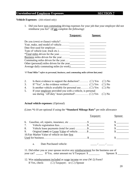### **Unreimbursed Employee Expenses SECTION 7**

#### **Vehicle Expenses:** (Job-related only)

1. Did you have non-commuting driving expenses for your job that your employer did not reimburse you for? (*If yes complete the following):*

|                                            | Taxpayer: | pouse: |
|--------------------------------------------|-----------|--------|
| Do you (own) or (lease) vehicle?           |           |        |
| Year, make, and model of vehicle           |           |        |
|                                            |           |        |
| Type of vehicle (car, truck etc.)          |           |        |
| *Total miles driven for the year           |           |        |
| Business miles driven for the year         |           |        |
| Commuting miles driven for the year        |           |        |
| Other (personal) miles driven for the year |           |        |
| Average daily commuting miles (to work)    |           |        |
|                                            |           |        |

#### *\*("Total Miles" refers to personal, business, and commuting miles driven last year)*

| 2. |                                                                                  |  |
|----|----------------------------------------------------------------------------------|--|
| 3. |                                                                                  |  |
| 4. | Is another vehicle available for personal use ( $\square$ ) Yes ( $\square$ ) No |  |
| 5. | If your employer provided you with a vehicle, is personal                        |  |
|    |                                                                                  |  |

#### **Actual vehicle expenses:** (Optional)

(Lines \*6-10 are optional if using the **"Standard Mileage Rate"** per mile allowance

|                                                                                     | Taxpayer: | Spouse:               |
|-------------------------------------------------------------------------------------|-----------|-----------------------|
| 6.                                                                                  |           |                       |
| 7.                                                                                  |           |                       |
| Vehicle lease payments (total for year) \$<br>8.                                    |           |                       |
| Original (cost) or <u>Lease Value</u> of vehicle\$<br>9.                            |           |                       |
| 10. Fair Market Value of vehicle on date first                                      |           |                       |
|                                                                                     |           |                       |
| Date Purchased vehicle:<br>a.                                                       |           |                       |
| 11. Did either you or your spouse receive any reimbursement for the business use of |           |                       |
| your car? If Yes, enter amount rec'd Taxpayer: \$                                   |           | Spouse: $\frac{1}{2}$ |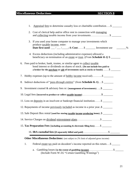# **Miscellaneous Deductions SECTION 8**

| Appraisal fees to determine casualty loss or charitable contribution\$<br>1.                                                                                                                                                               |      |
|--------------------------------------------------------------------------------------------------------------------------------------------------------------------------------------------------------------------------------------------|------|
| Cost of clerical help and/or office rent in connection with managing<br>2.                                                                                                                                                                 |      |
| 3. If you used your home computer to manage your investments which<br>produce taxable income, enter:<br>Date first used: $\angle$ / $\angle$ / $\angle$ $\angle$ $\angle$ $\angle$ $\angle$ cost: \$ _ _ Investment use                    | $\%$ |
| 4. Excess deductions (including administrative expenses) allowed a<br>beneficiary on termination of an <u>estate</u> or trust. ( <i>From Schedule K-1</i> ) \$                                                                             |      |
| 6. Fees paid to broker, bank, trustee, or similar agent to collect taxable<br>bond interest or dividends on shares of stock. (Do not include fees paid to<br>a broker for the purchase or sale of investments such as stocks or bonds)  \$ |      |
| 7. Hobby expenses (up to the amount of <u>hobby income</u> received)\$                                                                                                                                                                     |      |
| 8. Indirect deductions of " <i>pass-through entities</i> " (from <b>Schedule K-1</b> )\$                                                                                                                                                   |      |
| 9. Investment counsel & advisory fees re: (management of investments)\$                                                                                                                                                                    |      |
| 10. Legal fees (incurred to produce or collect taxable income)\$                                                                                                                                                                           |      |
| 11. Loss on deposits in an insolvent or bankrupt financial institution\$                                                                                                                                                                   |      |
| 12. Repayments of income previously included as income in a prior year\$                                                                                                                                                                   |      |
| 13. Safe Deposit Box rental (used for storing taxable income producing items)\$                                                                                                                                                            |      |
| 14. Service Charges on dividend reinvestment plans\$                                                                                                                                                                                       |      |
| 15. Tax Preparation Fees (including accounting & electronic filing fees) \$                                                                                                                                                                |      |
|                                                                                                                                                                                                                                            |      |
| <b>Other Miscellaneous Deductions:</b> (not subject to 2% limit of adjusted gross income)                                                                                                                                                  |      |
| Federal estate tax paid on decedent's income reported on this return\$<br>1.                                                                                                                                                               |      |
| a.<br>(Include Form W-2G "Certain Gambling Winnings")                                                                                                                                                                                      |      |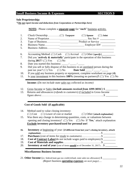### **Small Business Income & Expenses SECTION 9**

#### **Sole Proprietorship:**

*\*(Do not report income and deductions from Corporations or Partnerships here)*

**NOTE:** Please complete a **separate page** for "*each*" business activity.

| 1.  | $(\Box)$ Spouse $(\Box)$ Joint                                                                                                   |
|-----|----------------------------------------------------------------------------------------------------------------------------------|
| 2.  |                                                                                                                                  |
| 3.  |                                                                                                                                  |
| 4.  |                                                                                                                                  |
| 5.  |                                                                                                                                  |
| 6.  | Accounting Method: ( $\square$ ) Cash ( $\square$ ) Accrual ( $\square$ ) Other (specify)                                        |
| 7.  | Did you 'actively $\&$ materially' participate in the operation of this business<br>during $2017$ ? ( $\Box$ ) Yes ( $\Box$ ) No |
| 8.  | Date you started this business: $\frac{1}{\sqrt{2\pi}}$                                                                          |
| 9.  | Did you sell or fully dispose of this business to an <u>unrelated</u> person during the                                          |
| 10. | If you sold any business property or equipment, complete worksheet on page (4).                                                  |
| 11. | Is your investment in this business 100% (meaning no partners)? ( $\square$ ) Yes ( $\square$ ) No                               |
|     | <b>Income:</b> ( <i>Do not include state sales tax collected as income</i> )                                                     |
| 12. | Gross Income or Sales (include amounts received from 1099-MISC) \$                                                               |
| 13. | Returns and allowances (refunds to customers) if included in Gross Income                                                        |
|     |                                                                                                                                  |

### **Cost of Goods Sold- (if applicable)**

| 14. | Method used to value closing inventory:                                                                |
|-----|--------------------------------------------------------------------------------------------------------|
|     | $(\square)$ Cost $(\square)$ Lower of cost or market $(\square)$ Other (attach explanation)            |
| 15. | Was there any change in determining quantities, costs, or valuations between                           |
|     | opening and closing inventory? ( $\square$ ) Yes ( $\square$ ) No If 'Yes,' attach explanation         |
|     | <b>Exclude inventory purchased/used for personal use!</b>                                              |
| 16. | <b>Inventory</b> at <b>beginning</b> of year: (if different from last year's closing inventory, attach |
| 17. | <b>Purchases</b> (cost of items for resale to customers)\$                                             |
| 18. | <b>Cost of Contract Labor</b> (do not include wages paid to employees) $\frac{1}{2}$                   |
|     |                                                                                                        |
| 19. |                                                                                                        |

#### **Miscellaneous Business Income:**

21. **Other Income** (ex: federal/state gas tax credit/refund, state sales tax allowance) \$ *(Report business operating expenses on next page)….*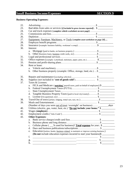### **Small Business Income/Expenses** SECTION 9

### **Business Operating Expenses:**

| 22. |                                                                                              |                             |
|-----|----------------------------------------------------------------------------------------------|-----------------------------|
| 23. | Bad debts from sales or services <i>(if included in gross income reported)</i> \$            |                             |
| 24. | Car and truck expenses (complete vehicle worksheet on next page)                             |                             |
| 25. |                                                                                              |                             |
| 26. |                                                                                              |                             |
| 27. | Equipment, Furniture, Machinery, or Tools (complete asset worksheet on page 20)              |                             |
| 28. |                                                                                              |                             |
| 29. | Insurance (example: business liability, workman's comp)\$                                    |                             |
| 30. | Interest:                                                                                    |                             |
|     | Mortgage (paid to banks, on business property.) \$<br>a.                                     |                             |
|     | b.                                                                                           |                             |
| 31. |                                                                                              |                             |
| 32. |                                                                                              |                             |
| 33. |                                                                                              |                             |
| 34. | Rent or lease:                                                                               |                             |
|     |                                                                                              |                             |
|     | b. Other business property (example: Office, storage, land, etc.) \$                         |                             |
|     |                                                                                              |                             |
| 35. |                                                                                              |                             |
| 36. |                                                                                              |                             |
| 37. | Taxes & Licenses:                                                                            |                             |
|     | a. FICA and Medicare ('matching' payroll taxes, paid on behalf of employees) \$              |                             |
|     |                                                                                              |                             |
|     | $c_{\cdot}$                                                                                  |                             |
|     | Tangible Business Property Taxes (paid to local city/county)\$<br>d.                         |                             |
|     | e.                                                                                           |                             |
| 38. | Travel/Out of town (airfare, lodging, rental cars, taxi, etc.)\$                             |                             |
| 39. |                                                                                              |                             |
|     | (Number of days you were <i>out of town</i> 'overnight' on business): <i>days</i>            |                             |
| 40. | Utilities (electric, gas, water, heat, etc.) "Do not include your home." \$                  |                             |
| 41. |                                                                                              |                             |
| 42. |                                                                                              |                             |
| 43. | <b>Other Expenses:</b>                                                                       |                             |
|     |                                                                                              |                             |
|     |                                                                                              |                             |
|     | Cellular phone ( __% used for business)? Total expense for year: \$<br>$\mathbf{c}.$         |                             |
|     | d.                                                                                           |                             |
|     | Education (tuition, books; business related to maintain or improve existing business.)<br>e. |                             |
|     | (Do not include education expenses incurred to start your business)\$                        |                             |
|     | f.                                                                                           |                             |
|     |                                                                                              | $\frac{\text{S}}{\text{S}}$ |
|     | g.                                                                                           | $\sim$                      |
|     | h.                                                                                           |                             |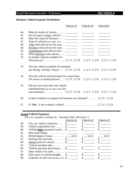### Small Business Income / Expenses **SECTION 9**

### **Business Vehicle Expense Worksheet:**

|                                 | Vehicle #1                                                                                                                     | Vehicle #2 | Vehicle#3                                         |
|---------------------------------|--------------------------------------------------------------------------------------------------------------------------------|------------|---------------------------------------------------|
| 44.<br>45.<br>46.<br>47.<br>48. | Date first used for business:                                                                                                  |            |                                                   |
| 49.<br>50.                      |                                                                                                                                |            |                                                   |
| 51.                             |                                                                                                                                |            |                                                   |
| 52.                             | Is another vehicle available for                                                                                               |            |                                                   |
| 53.                             | Was the vehicle available for personal<br>use during 'off-duty' hours? $(\Box) Y (\Box) N (\Box) Y (\Box) N (\Box) Y (\Box) N$ |            |                                                   |
| 54.                             | Was the vehicle used primarily by a more than<br>5% owner or related person? ( $\square$ ) Y ( $\square$ ) N                   |            | $(\square) Y (\square) N (\square) Y (\square) N$ |
| 55.                             | Did you use more than one vehicle<br>simultaneously (at the same time) for                                                     |            |                                                   |
| 56.                             | Is there evidence to support the business use claimed? $(\Box) Y (\Box) N$                                                     |            |                                                   |
| 57.                             |                                                                                                                                |            |                                                   |

### **Actual Vehicle Expenses:**

*(Do not complete if taking the "Standard Mile Allowance")*

|     |                                                    | Vehicle #1 | Vehicle #2 | Vehicle #3 |
|-----|----------------------------------------------------|------------|------------|------------|
| 58. | Gas, oil, repairs, insurance $\quad \quad$         |            |            |            |
| 59. | Vehicle registration fees $\frac{1}{2}$            |            |            |            |
| 60. | Vehicle <b>lease</b> payments (year)\$             |            |            |            |
| 61. |                                                    |            |            |            |
| 62. |                                                    |            | (yrs)      | (yrs)      |
| 63. | Parking fees and tolls $\dots$ \$                  |            |            |            |
| 64. | Interest paid on vehicle \$                        |            |            |            |
| 65. |                                                    |            |            |            |
| 66. | Vehicle purchase price/basis\$                     |            | SS.        |            |
| 67. |                                                    |            |            |            |
| 68. | Sales price of vehicle (if sold) $\quad \quad$     |            |            |            |
| 69. | Expenses of sale (advertising, etc.) $\frac{1}{2}$ |            |            |            |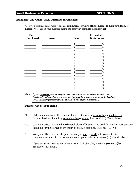### **Small Business & Expenses SECTION 9**

#### **Equipment and Other Assets Purchases for Business:**

70. If you purchased any "assets" such as **computers, software, office equipment, furniture, tools,** or **machinery** for use in your business during the past year, complete the following:

| <b>Date</b>       |        |               | Percent of           |
|-------------------|--------|---------------|----------------------|
| <b>Purchased:</b> | Asset: | <b>Price:</b> | <b>Business use:</b> |
|                   |        | \$            | %                    |
|                   |        | \$            | $\%$                 |
|                   |        | \$            | %                    |
|                   |        | \$            | $\%$                 |
|                   |        | \$            | %                    |
|                   |        | \$            | $\%$                 |
|                   |        | \$            | %                    |
|                   |        | \$            | $\%$                 |
|                   |        | \$            | $\%$                 |
|                   |        | \$            | %                    |
|                   |        | \$            | %                    |
|                   |        | \$            | $\%$                 |
|                   |        | \$            | $\%$                 |
|                   |        | \$            | $\%$                 |
|                   |        | S             | $\%$                 |

*Note: (If you converted personal property items to business use, under the heading 'Date Purchased,' indicate date when asset was first used for business and, under the heading 'Price', indicate fair market value of asset on date of first business use)*

#### **Business Use of Your Home:**

- 71. Did you maintain an office in your home that was used **regularly** and **exclusively** for your business including administrative or mgmt. functions? ( $\Box$ ) Yes ( $\Box$ ) No
- 72. Was your office in home the **principal place** of business and used for any business purpose including for the storage of <u>inventory</u> or product samples? ( $\Box$ ) Yes ( $\Box$ ) No
- 73. Was your office in home the place where you **met** or **dealt** with your patients, clients or customers in the normal course of your trade or business? ( $\Box$ ) Yes ( $\Box$ ) No

*If you answered 'Yes' to questions #71and #72, (or) #73, complete (Home Office Section on next page).*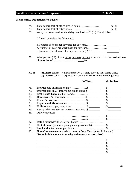### Small Business Income / Expenses **SECTION 9**

#### **Home Office Deductions for Business:**

|  |  | sq. ft. |
|--|--|---------|
|  |  |         |

- 75. Total square feet of entire home…………………………\_\_\_\_\_\_\_\_\_sq. ft.
- 76. Was your home used for child day care business? ( $\Box$ ) Yes ( $\Box$ ) No

(If '**yes**', complete the following):

- a. Number of hours per day used for day care……………… b. Number of days per week used for day care………………
- c. Number of weeks used for day care during 2017.…………….\_\_\_\_\_\_\_\_\_
- 77. What percent (%) of your gross business income is derived from the **business use of your home**?…………………… ( \_\_\_\_%)
- **KEY: (a) Direct** column = expenses the ONLY apply 100% to your Home Office **(b) Indirect** column = expenses that benefit the **entire** house **including** office

|                        | (a) <b>Direct</b>                                                                                                                     | (b) Indirect                |
|------------------------|---------------------------------------------------------------------------------------------------------------------------------------|-----------------------------|
|                        |                                                                                                                                       |                             |
|                        | <b>Interest</b> paid on $2^{nd}$ mtg./home equity loans. \$                                                                           |                             |
|                        | Real Estate Taxes paid on home \$                                                                                                     |                             |
|                        |                                                                                                                                       |                             |
|                        |                                                                                                                                       |                             |
|                        | Repairs and Maintenance \$                                                                                                            |                             |
|                        | Utilities (electric, gas, water, & heat) \$                                                                                           | $\frac{\text{S}}{\text{S}}$ |
|                        | <b>Rent</b> paid (during period of "office use"-total amt) \$                                                                         |                             |
| <b>Other</b> expenses: |                                                                                                                                       |                             |
|                        |                                                                                                                                       |                             |
|                        |                                                                                                                                       |                             |
|                        |                                                                                                                                       |                             |
|                        | Cost of home (purchase price plus improvements) \$                                                                                    |                             |
|                        |                                                                                                                                       |                             |
|                        | Home Improvements made last year: (Date, Description & Amount)<br>(Do not include amounts for painting, maintenance, or repairs here) |                             |
|                        |                                                                                                                                       |                             |
|                        |                                                                                                                                       |                             |
|                        |                                                                                                                                       |                             |
|                        |                                                                                                                                       |                             |
|                        |                                                                                                                                       |                             |
|                        |                                                                                                                                       |                             |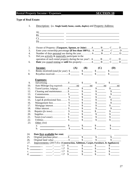### Rental Property Income / Expenses **SECTION 10**

### **Type of Real Estate:**

| Owner of Property: (Taxpayer, Spouse, or Joint) $A \_\_\_\_B \_\_\_C \_\_\_D \_\_\_\_D$                                                                                                                                                                                                               |                             |                             |                             |                             |
|-------------------------------------------------------------------------------------------------------------------------------------------------------------------------------------------------------------------------------------------------------------------------------------------------------|-----------------------------|-----------------------------|-----------------------------|-----------------------------|
| Enter your ownership percentage (if less than $100\%$ ) A ______ B _____ C _____ D _____                                                                                                                                                                                                              |                             |                             |                             |                             |
| Number of days personal use during the year $A \_ B \_ C \_ D \_ D \_ D$                                                                                                                                                                                                                              |                             |                             |                             |                             |
| Did you actively & materially participate in the                                                                                                                                                                                                                                                      |                             |                             |                             |                             |
| operation of each rental property during the tax year? A ______ B _____ C _____ D _____                                                                                                                                                                                                               |                             |                             |                             |                             |
| <b>Date</b> you ceased renting or sold this property: $A \_ B \_ C \_ C \_ D \_ D \_ D$                                                                                                                                                                                                               |                             |                             |                             |                             |
| <b>Income:</b>                                                                                                                                                                                                                                                                                        |                             | $(A)$ $(B)$                 | (C)                         | (D)                         |
|                                                                                                                                                                                                                                                                                                       |                             |                             |                             |                             |
| Rents received ( <i>total for year</i> ) $\frac{25}{100}$ $\frac{3}{100}$ $\frac{3}{100}$ $\frac{3}{100}$ $\frac{3}{100}$ $\frac{3}{100}$ $\frac{3}{100}$ $\frac{3}{100}$ $\frac{3}{100}$ $\frac{3}{100}$ $\frac{3}{100}$ $\frac{3}{100}$ $\frac{3}{100}$ $\frac{3}{100}$ $\frac{3}{100}$ $\frac{3}{$ |                             |                             |                             |                             |
|                                                                                                                                                                                                                                                                                                       |                             |                             |                             |                             |
| <b>Expenses:</b>                                                                                                                                                                                                                                                                                      |                             |                             |                             |                             |
|                                                                                                                                                                                                                                                                                                       |                             |                             | $\frac{1}{\sqrt{2}}$        | $\frac{1}{2}$               |
|                                                                                                                                                                                                                                                                                                       |                             | $\frac{mi}{i}$              | $\frac{mi}{i}$              | $\frac{mi}{i}$              |
| Travel (airfare, lodging)\$                                                                                                                                                                                                                                                                           |                             | $\frac{\text{S}}{\text{S}}$ |                             | $\frac{\text{S}}{\text{S}}$ |
| Cleaning and maintenance\$                                                                                                                                                                                                                                                                            |                             | $\frac{1}{\sqrt{2}}$        | $\frac{\text{S}}{\text{S}}$ |                             |
|                                                                                                                                                                                                                                                                                                       |                             |                             | $\frac{1}{2}$               | $\frac{\sqrt{2}}{2}$        |
|                                                                                                                                                                                                                                                                                                       |                             | $\frac{\text{S}}{\text{S}}$ | $\frac{\text{S}}{\text{S}}$ | $\frac{\text{S}}{\text{S}}$ |
| Legal & professional fees $\frac{1}{2}$                                                                                                                                                                                                                                                               |                             | $\frac{\text{S}}{\text{S}}$ |                             | $\frac{\sqrt{2}}{2}$        |
|                                                                                                                                                                                                                                                                                                       |                             | $\frac{\text{S}}{\text{S}}$ |                             | $\frac{\text{S}}{\text{S}}$ |
|                                                                                                                                                                                                                                                                                                       |                             | $\frac{1}{2}$               |                             | $\frac{\sqrt{2}}{2}$        |
|                                                                                                                                                                                                                                                                                                       |                             | $\frac{1}{2}$               |                             | $\frac{\text{S}}{\text{S}}$ |
|                                                                                                                                                                                                                                                                                                       |                             | $\frac{\sqrt{2}}{2}$        | $\frac{\text{S}}{\text{S}}$ | $\frac{\text{S}}{\text{S}}$ |
|                                                                                                                                                                                                                                                                                                       |                             |                             | $\frac{\text{S}}{\text{S}}$ |                             |
|                                                                                                                                                                                                                                                                                                       |                             |                             | $\frac{\sqrt{2}}{2}$        | $\frac{\text{S}}{\text{S}}$ |
|                                                                                                                                                                                                                                                                                                       | $\frac{\text{S}}{\text{S}}$ | $\frac{1}{2}$               | $\frac{1}{2}$               |                             |
| Other: (list)                                                                                                                                                                                                                                                                                         |                             |                             |                             |                             |
| <u> 1980 - Johann Barnett, fransk politik (</u><br>a.                                                                                                                                                                                                                                                 |                             | $\frac{\text{S}}{\text{S}}$ | $\frac{\text{S}}{\text{S}}$ | $\frac{\text{S}}{\text{S}}$ |
| b.                                                                                                                                                                                                                                                                                                    | $\mathbb{S}$                |                             | $\mathbb{S}$                |                             |

1. Description: (ex. **Single family home, condo, duplex)** and Property Address: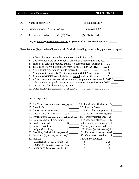### Farm Income / Expenses **SECTION 11**

| A.             |                                        | $\frac{1}{2}$ Social Security #                                                        |
|----------------|----------------------------------------|----------------------------------------------------------------------------------------|
| <b>B.</b>      |                                        | Employer ID $\#$                                                                       |
| $\mathbf{C}$ . | Accounting method: $(1)$ $(\Box)$ Cash | $(2)$ ( $\square$ ) Accrual                                                            |
| D.             |                                        | Did you actively & 'materially participate' in operation of this business during 2017? |

**Farm Income:(**Report sales of livestock held for **draft, breeding, sport** or dairy purposes on page 4)

| 2. Cost or other basis of livestock $\&$ other items reported on line 1               |
|---------------------------------------------------------------------------------------|
| 3. Sales of livestock, produce, grains, & other products you raised\$                 |
|                                                                                       |
|                                                                                       |
| 6. Amount of Commodity Credit Corporation (CCC) loans received\$                      |
| 7. Amount of (CCC) loans forfeited or repaid with certificates\$                      |
| 8. a Crop insurance proceeds & certain disaster payments received in 2017 \$          |
| <b>b</b> Do you elect to (defer) insurance or payments received to year 2018?         |
|                                                                                       |
| 10. Other income (including federal & state gasoline or fuel tax credit or refund) \$ |

### **Farm Expenses:**

| 11. Car/Truck (see vehicle worksheet, pg. 24) 24. Pension/profit sharing \$                                                                                                                                                                                                                                                                   |
|-----------------------------------------------------------------------------------------------------------------------------------------------------------------------------------------------------------------------------------------------------------------------------------------------------------------------------------------------|
| 25. Rent or Lease:                                                                                                                                                                                                                                                                                                                            |
| <b>a</b> Vehicles, equipment. \$<br>13. Conservation expenses\$                                                                                                                                                                                                                                                                               |
| <b>b</b> Other <i>(land, animals, etc)</i> $\$                                                                                                                                                                                                                                                                                                |
| 26. Repairs/maintenance\$<br>15. Depreciation (see asset worksheet, pg 25)                                                                                                                                                                                                                                                                    |
| 27. Seeds and plants $\frac{1}{2}$                                                                                                                                                                                                                                                                                                            |
| 28.Storage/warehousing\$                                                                                                                                                                                                                                                                                                                      |
| 29. Supplies purchased \$                                                                                                                                                                                                                                                                                                                     |
| 19. Freight & trucking $\mathcal{S}$<br>30. Taxes (excluding home). $\$\_\_$                                                                                                                                                                                                                                                                  |
| 31. Utilities (excluding home)\$<br>20. Gasoline, fuel, & oil (equipment) \$                                                                                                                                                                                                                                                                  |
| 32. Veterinary, breeding\$                                                                                                                                                                                                                                                                                                                    |
| 33. Other expenses:                                                                                                                                                                                                                                                                                                                           |
| <b>A</b> Mortgage (excluding home)\$<br>S<br>$\mathbf{a}$ and $\mathbf{a}$ and $\mathbf{a}$ and $\mathbf{a}$ and $\mathbf{a}$ and $\mathbf{a}$ and $\mathbf{a}$ and $\mathbf{a}$ and $\mathbf{a}$ and $\mathbf{a}$ and $\mathbf{a}$ and $\mathbf{a}$ and $\mathbf{a}$ and $\mathbf{a}$ and $\mathbf{a}$ and $\mathbf{a}$ and $\mathbf{a}$ and |
| <b>B</b> Other (business loans, equip., etc)\$ ________<br>h.                                                                                                                                                                                                                                                                                 |
|                                                                                                                                                                                                                                                                                                                                               |
|                                                                                                                                                                                                                                                                                                                                               |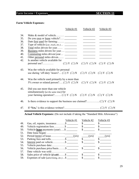### Farm Income / Expenses **SECTION 11**

### **Farm Vehicle Expenses:**

|                                                             |                                                                                                                                                                                                                                              | Vehicle #1 | Vehicle #2                                                                                                                                                                                                                    | Vehicle #3                                                                                                                                                                                                                                                                                                                                                                                                                                                                                                                                                                                                                                                                                                                                                                                                                                                                                                                                                                                  |
|-------------------------------------------------------------|----------------------------------------------------------------------------------------------------------------------------------------------------------------------------------------------------------------------------------------------|------------|-------------------------------------------------------------------------------------------------------------------------------------------------------------------------------------------------------------------------------|---------------------------------------------------------------------------------------------------------------------------------------------------------------------------------------------------------------------------------------------------------------------------------------------------------------------------------------------------------------------------------------------------------------------------------------------------------------------------------------------------------------------------------------------------------------------------------------------------------------------------------------------------------------------------------------------------------------------------------------------------------------------------------------------------------------------------------------------------------------------------------------------------------------------------------------------------------------------------------------------|
| 34.<br>35.<br>36.<br>37.<br>38.<br>39.<br>40.<br>41.<br>42. | Make & model of vehicle<br>Date <u>first</u> used for farming:<br>Total miles driven for year<br>Business miles driven for year __________<br>Commuting miles driven/year<br>Other personal miles driven<br>Is another vehicle available for |            | <u> 1989 - Johann Barnett, fransk politiker</u><br>$\begin{array}{c} \begin{array}{c} \begin{array}{c} \begin{array}{c} \end{array} \\ \end{array} \end{array} \end{array}$<br><u> The Communication of the Communication</u> | $\frac{1}{2} \left( \frac{1}{2} \right) \left( \frac{1}{2} \right) \left( \frac{1}{2} \right) \left( \frac{1}{2} \right) \left( \frac{1}{2} \right) \left( \frac{1}{2} \right) \left( \frac{1}{2} \right) \left( \frac{1}{2} \right) \left( \frac{1}{2} \right) \left( \frac{1}{2} \right) \left( \frac{1}{2} \right) \left( \frac{1}{2} \right) \left( \frac{1}{2} \right) \left( \frac{1}{2} \right) \left( \frac{1}{2} \right) \left( \frac{1}{2} \right) \left( \frac$<br>$\frac{1}{2} \left( \frac{1}{2} \right)^{2} \left( \frac{1}{2} \right)^{2} \left( \frac{1}{2} \right)^{2} \left( \frac{1}{2} \right)^{2} \left( \frac{1}{2} \right)^{2} \left( \frac{1}{2} \right)^{2} \left( \frac{1}{2} \right)^{2} \left( \frac{1}{2} \right)^{2} \left( \frac{1}{2} \right)^{2} \left( \frac{1}{2} \right)^{2} \left( \frac{1}{2} \right)^{2} \left( \frac{1}{2} \right)^{2} \left( \frac{1}{2} \right)^{2} \left( \frac$<br><u> Alexandria de la conte</u><br><u> Alexandria de la c</u> |
|                                                             |                                                                                                                                                                                                                                              |            |                                                                                                                                                                                                                               | $(\square) Y (\square) N (\square) Y (\square) N$                                                                                                                                                                                                                                                                                                                                                                                                                                                                                                                                                                                                                                                                                                                                                                                                                                                                                                                                           |
| 43.                                                         | Was the vehicle available for personal<br>use during 'off-duty' hours? ( $\square$ ) Y ( $\square$ ) N                                                                                                                                       |            |                                                                                                                                                                                                                               | $(\square) Y (\square) N (\square) Y (\square) N$                                                                                                                                                                                                                                                                                                                                                                                                                                                                                                                                                                                                                                                                                                                                                                                                                                                                                                                                           |
| 44.                                                         | Was the vehicle used primarily by a more than<br>5% owner or related person? ( $\square$ ) Y ( $\square$ ) N                                                                                                                                 |            |                                                                                                                                                                                                                               | $(\square) Y (\square) N (\square) Y (\square) N$                                                                                                                                                                                                                                                                                                                                                                                                                                                                                                                                                                                                                                                                                                                                                                                                                                                                                                                                           |
| 45.                                                         | Did you use more than one vehicle<br>simultaneously (at the same time) for                                                                                                                                                                   |            |                                                                                                                                                                                                                               |                                                                                                                                                                                                                                                                                                                                                                                                                                                                                                                                                                                                                                                                                                                                                                                                                                                                                                                                                                                             |
| 46.                                                         |                                                                                                                                                                                                                                              |            |                                                                                                                                                                                                                               |                                                                                                                                                                                                                                                                                                                                                                                                                                                                                                                                                                                                                                                                                                                                                                                                                                                                                                                                                                                             |
| 47.                                                         |                                                                                                                                                                                                                                              |            |                                                                                                                                                                                                                               |                                                                                                                                                                                                                                                                                                                                                                                                                                                                                                                                                                                                                                                                                                                                                                                                                                                                                                                                                                                             |

**Actual Vehicle Expenses:** (Do not include if taking the "Standard Mile Allowance")

|     |                                                 | Vehicle #1 | Vehicle #2  | Vehicle #3 |
|-----|-------------------------------------------------|------------|-------------|------------|
| 48. | Gas, oil, repairs, insurance \$                 |            | $\mathbf S$ |            |
| 49. | Vehicle registration fees \$                    |            |             |            |
| 50. | Vehicle <u>lease</u> payments (year)\$          |            |             |            |
| 51. |                                                 |            |             |            |
| 52. |                                                 |            | (yrs)       | (yrs)      |
| 53. |                                                 |            |             |            |
| 54. |                                                 |            |             |            |
| 55. |                                                 |            |             |            |
| 56. | Vehicle purchase price/basis \$                 |            |             |            |
| 57. |                                                 |            |             |            |
| 58. | Sales price of vehicle (if sold) \$             |            |             |            |
| 59. | Expenses of sale ( <i>advertising, etc.</i> )\$ |            |             |            |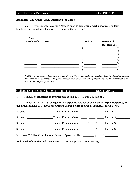#### Farm Income / Expenses **SECTION 11**

#### **Equipment and Other Assets Purchased for Farm:**

**60.** If you purchase any farm "assets" such as equipment, machinery, tractors, farm buildings, or barns during the past year complete the following:

| <b>Date</b><br><b>Purchased:</b> | Asset: | <b>Price:</b> | <b>Percent of</b><br><b>Business use:</b> |
|----------------------------------|--------|---------------|-------------------------------------------|
|                                  |        | Φ             | $\%$                                      |
|                                  |        |               | $\%$                                      |
|                                  |        |               | $\%$                                      |
|                                  |        |               | $\%$                                      |
|                                  |        |               | $\%$                                      |
|                                  |        |               | $\%$                                      |
|                                  |        |               | $\%$                                      |
|                                  |        |               | $\%$                                      |

**Note:** *(If you converted personal property items to 'farm' use, under the heading 'Date Purchased', indicated date when asset was first used for farm operation and, under the heading 'Price', indicate fair market value of asset on date of first 'farm' use)*

### College Expenses & Additional Comments **SECTION 12**

1. Amount of **student loan interest** paid during 2017 (Higher Education) \$ \_\_\_\_\_\_\_\_\_

2. Amount of "qualified" **college tuition expenses** paid for or on behalf of **taxpayer, spouse, or dependent during** 2017 *Re: Hope Credit/Lifetime Learning Credit, Tuition Deduction, etc.)*